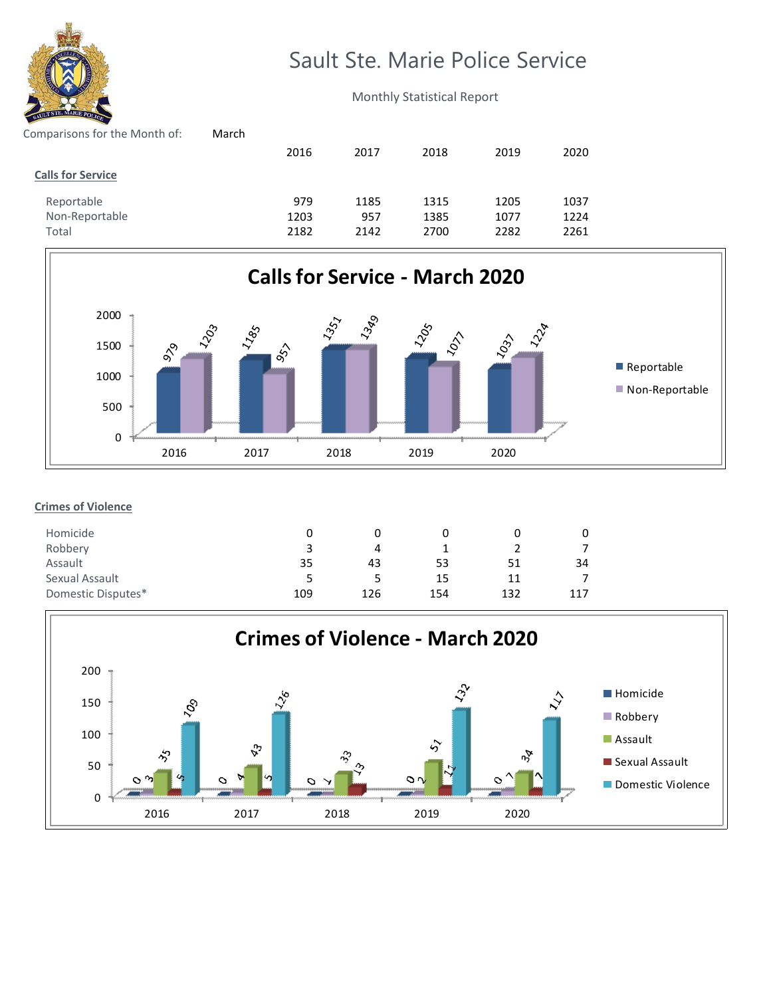

# Sault Ste. Marie Police Service

Monthly Statistical Report

| March |      |      |      |      |      |
|-------|------|------|------|------|------|
|       | 2016 | 2017 | 2018 | 2019 | 2020 |
|       |      |      |      |      |      |
|       | 979  | 1185 | 1315 | 1205 | 1037 |
|       | 1203 | 957  | 1385 | 1077 | 1224 |
|       | 2182 | 2142 | 2700 | 2282 | 2261 |
|       |      |      |      |      |      |



## **Crimes of Violence**

| Homicide           |     |     |     |     |     |
|--------------------|-----|-----|-----|-----|-----|
| Robbery            | ર   | 4   |     |     |     |
| Assault            | 35  | 43  | 53  | 51  | 34  |
| Sexual Assault     | ~   |     | 15  | 11  |     |
| Domestic Disputes* | 109 | 126 | 154 | 132 | 117 |